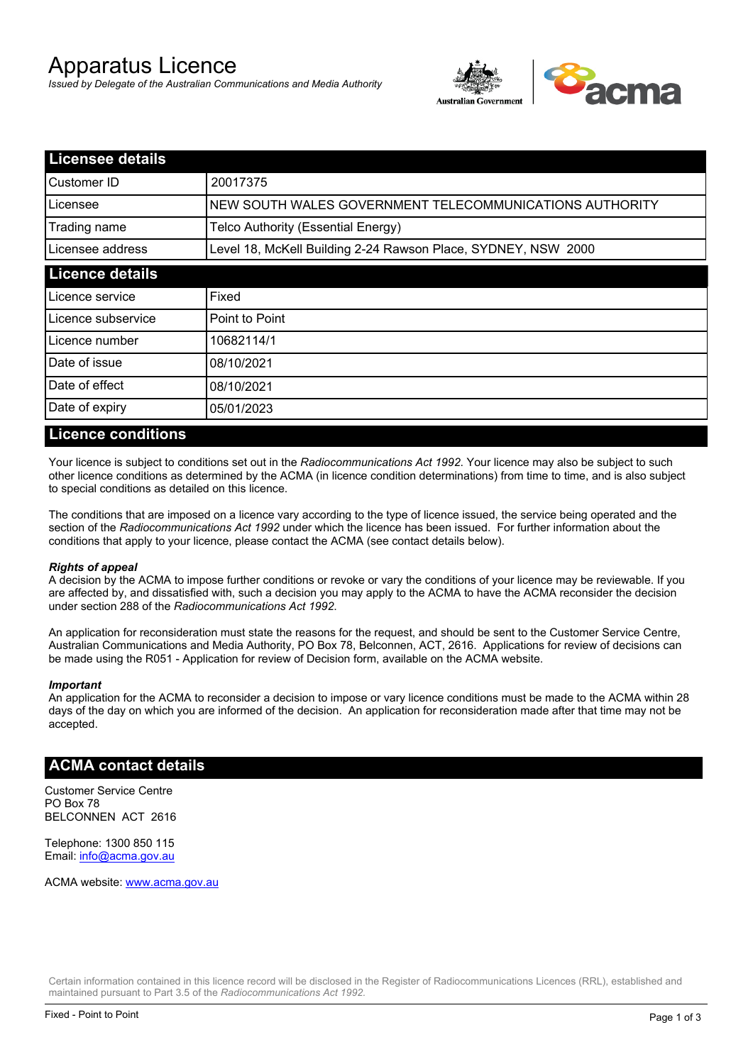# Apparatus Licence

*Issued by Delegate of the Australian Communications and Media Authority*



| <b>Licensee details</b> |                                                               |  |
|-------------------------|---------------------------------------------------------------|--|
| Customer ID             | 20017375                                                      |  |
| Licensee                | NEW SOUTH WALES GOVERNMENT TELECOMMUNICATIONS AUTHORITY       |  |
| Trading name            | Telco Authority (Essential Energy)                            |  |
| Licensee address        | Level 18, McKell Building 2-24 Rawson Place, SYDNEY, NSW 2000 |  |
| <b>Licence details</b>  |                                                               |  |
| Licence service         | Fixed                                                         |  |
| Licence subservice      | Point to Point                                                |  |
| Licence number          | 10682114/1                                                    |  |
| Date of issue           | 08/10/2021                                                    |  |
| <b>IDate of effect</b>  | 08/10/2021                                                    |  |
| Date of expiry          | 05/01/2023                                                    |  |

## **Licence conditions**

Your licence is subject to conditions set out in the *Radiocommunications Act 1992*. Your licence may also be subject to such other licence conditions as determined by the ACMA (in licence condition determinations) from time to time, and is also subject to special conditions as detailed on this licence.

The conditions that are imposed on a licence vary according to the type of licence issued, the service being operated and the section of the *Radiocommunications Act 1992* under which the licence has been issued. For further information about the conditions that apply to your licence, please contact the ACMA (see contact details below).

#### *Rights of appeal*

A decision by the ACMA to impose further conditions or revoke or vary the conditions of your licence may be reviewable. If you are affected by, and dissatisfied with, such a decision you may apply to the ACMA to have the ACMA reconsider the decision under section 288 of the *Radiocommunications Act 1992*.

An application for reconsideration must state the reasons for the request, and should be sent to the Customer Service Centre, Australian Communications and Media Authority, PO Box 78, Belconnen, ACT, 2616. Applications for review of decisions can be made using the R051 - Application for review of Decision form, available on the ACMA website.

#### *Important*

An application for the ACMA to reconsider a decision to impose or vary licence conditions must be made to the ACMA within 28 days of the day on which you are informed of the decision. An application for reconsideration made after that time may not be accepted.

### **ACMA contact details**

Customer Service Centre PO Box 78 BELCONNEN ACT 2616

Telephone: 1300 850 115 Email: info@acma.gov.au

ACMA website: www.acma.gov.au

Certain information contained in this licence record will be disclosed in the Register of Radiocommunications Licences (RRL), established and maintained pursuant to Part 3.5 of the *Radiocommunications Act 1992.*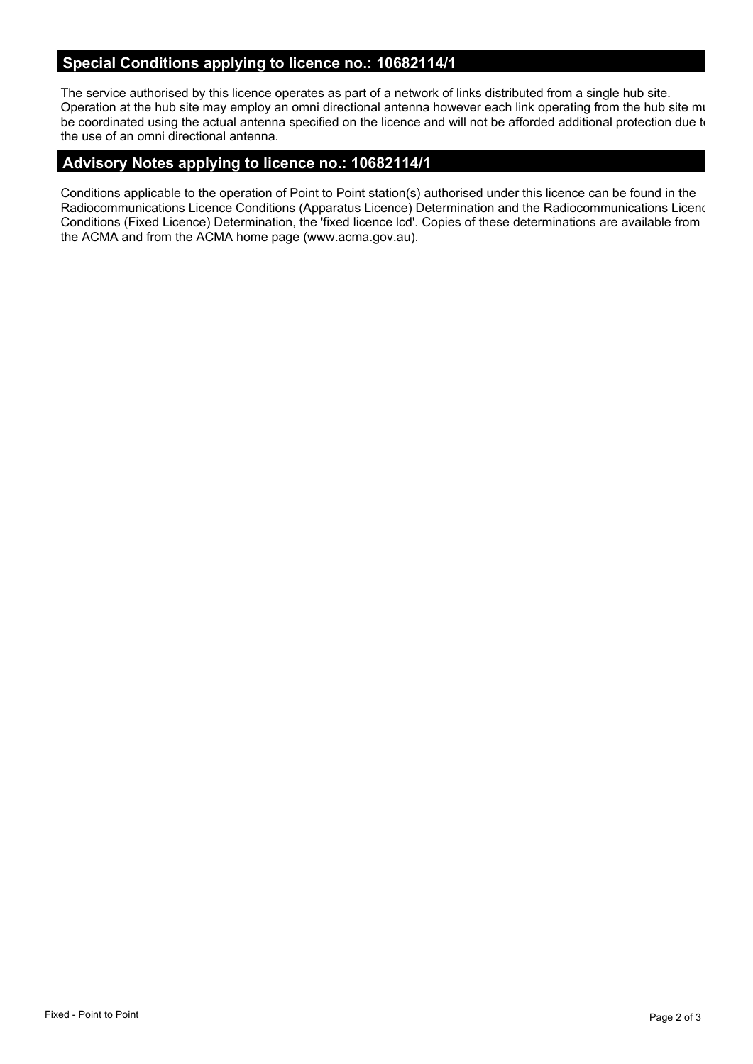## **Special Conditions applying to licence no.: 10682114/1**

The service authorised by this licence operates as part of a network of links distributed from a single hub site. Operation at the hub site may employ an omni directional antenna however each link operating from the hub site must be coordinated using the actual antenna specified on the licence and will not be afforded additional protection due to the use of an omni directional antenna.

## **Advisory Notes applying to licence no.: 10682114/1**

Conditions applicable to the operation of Point to Point station(s) authorised under this licence can be found in the Radiocommunications Licence Conditions (Apparatus Licence) Determination and the Radiocommunications Licence Conditions (Fixed Licence) Determination, the 'fixed licence lcd'. Copies of these determinations are available from the ACMA and from the ACMA home page (www.acma.gov.au).